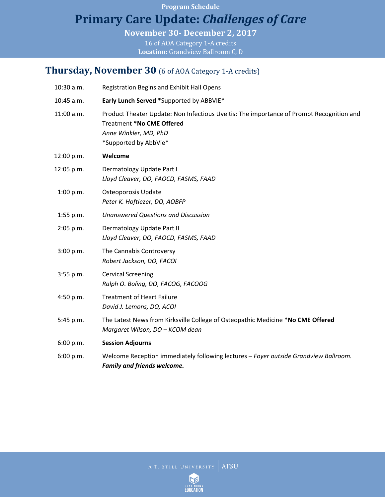**Program Schedule**

# **Primary Care Update:** *Challenges of Care*

**November 30- December 2, 2017**

16 of AOA Category 1-A credits **Location:** Grandview Ballroom C, D

### **Thursday, November 30** (6 of AOA Category 1-A credits)

| 10:30 a.m. | <b>Registration Begins and Exhibit Hall Opens</b>                                                                                                                       |
|------------|-------------------------------------------------------------------------------------------------------------------------------------------------------------------------|
| 10:45 a.m. | Early Lunch Served *Supported by ABBVIE*                                                                                                                                |
| 11:00 a.m. | Product Theater Update: Non Infectious Uveitis: The importance of Prompt Recognition and<br>Treatment *No CME Offered<br>Anne Winkler, MD, PhD<br>*Supported by AbbVie* |
| 12:00 p.m. | Welcome                                                                                                                                                                 |
| 12:05 p.m. | Dermatology Update Part I<br>Lloyd Cleaver, DO, FAOCD, FASMS, FAAD                                                                                                      |
| 1:00 p.m.  | Osteoporosis Update<br>Peter K. Hoftiezer, DO, AOBFP                                                                                                                    |
| 1:55 p.m.  | <b>Unanswered Questions and Discussion</b>                                                                                                                              |
| 2:05 p.m.  | Dermatology Update Part II<br>Lloyd Cleaver, DO, FAOCD, FASMS, FAAD                                                                                                     |
| 3:00 p.m.  | The Cannabis Controversy<br>Robert Jackson, DO, FACOI                                                                                                                   |
| 3:55 p.m.  | <b>Cervical Screening</b><br>Ralph O. Boling, DO, FACOG, FACOOG                                                                                                         |
| 4:50 p.m.  | <b>Treatment of Heart Failure</b><br>David J. Lemons, DO, ACOI                                                                                                          |
| 5:45 p.m.  | The Latest News from Kirksville College of Osteopathic Medicine *No CME Offered<br>Margaret Wilson, DO - KCOM dean                                                      |
| 6:00 p.m.  | <b>Session Adjourns</b>                                                                                                                                                 |
| 6:00 p.m.  | Welcome Reception immediately following lectures - Foyer outside Grandview Ballroom.<br><b>Family and friends welcome.</b>                                              |

A.T. STILL UNIVERSITY ATSU

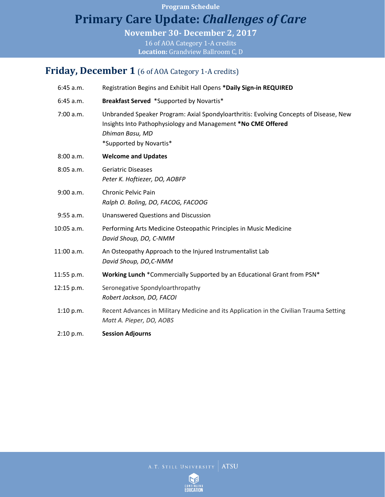#### **Program Schedule**

## **Primary Care Update:** *Challenges of Care*

**November 30- December 2, 2017**

16 of AOA Category 1-A credits **Location:** Grandview Ballroom C, D

#### Friday, December 1 (6 of AOA Category 1-A credits)

| $6:45$ a.m. | Registration Begins and Exhibit Hall Opens *Daily Sign-in REQUIRED                                                                                                                                  |
|-------------|-----------------------------------------------------------------------------------------------------------------------------------------------------------------------------------------------------|
| 6:45 a.m.   | Breakfast Served *Supported by Novartis*                                                                                                                                                            |
| 7:00 a.m.   | Unbranded Speaker Program: Axial Spondyloarthritis: Evolving Concepts of Disease, New<br>Insights Into Pathophysiology and Management *No CME Offered<br>Dhiman Basu, MD<br>*Supported by Novartis* |
| 8:00 a.m.   | <b>Welcome and Updates</b>                                                                                                                                                                          |
| 8:05 a.m.   | <b>Geriatric Diseases</b><br>Peter K. Hoftiezer, DO, AOBFP                                                                                                                                          |
| 9:00 a.m.   | <b>Chronic Pelvic Pain</b><br>Ralph O. Boling, DO, FACOG, FACOOG                                                                                                                                    |
| 9:55 a.m.   | <b>Unanswered Questions and Discussion</b>                                                                                                                                                          |
| 10:05 a.m.  | Performing Arts Medicine Osteopathic Principles in Music Medicine<br>David Shoup, DO, C-NMM                                                                                                         |
| 11:00 a.m.  | An Osteopathy Approach to the Injured Instrumentalist Lab<br>David Shoup, DO,C-NMM                                                                                                                  |
| 11:55 p.m.  | Working Lunch *Commercially Supported by an Educational Grant from PSN*                                                                                                                             |
| 12:15 p.m.  | Seronegative Spondyloarthropathy<br>Robert Jackson, DO, FACOI                                                                                                                                       |
| 1:10 p.m.   | Recent Advances in Military Medicine and its Application in the Civilian Trauma Setting<br>Matt A. Pieper, DO, AOBS                                                                                 |
| 2:10 p.m.   | <b>Session Adjourns</b>                                                                                                                                                                             |

A.T. STILL UNIVERSITY ATSU